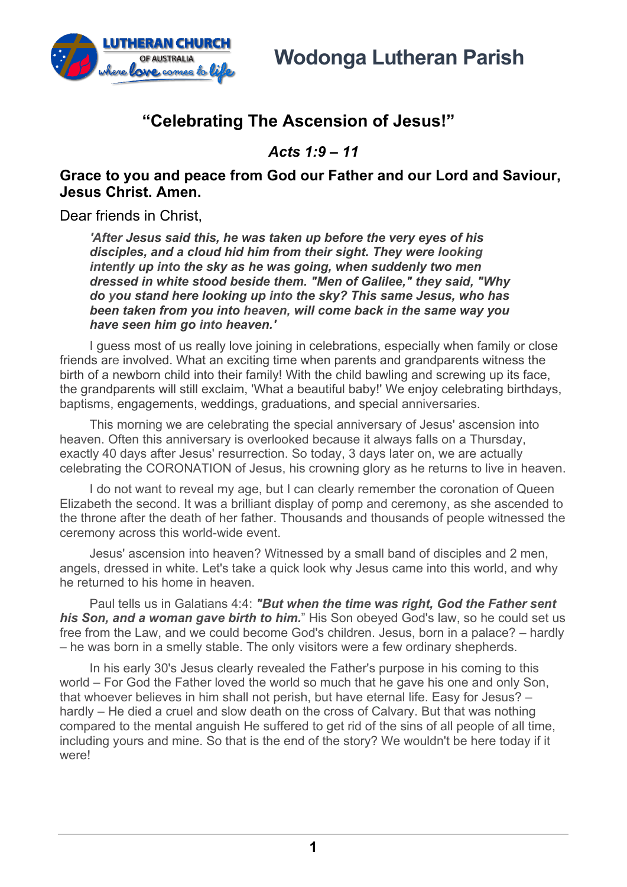

## **"Celebrating The Ascension of Jesus!"**

*Acts 1:9 – 11*

## **Grace to you and peace from God our Father and our Lord and Saviour, Jesus Christ. Amen.**

Dear friends in Christ.

*'After Jesus said this, he was taken up before the very eyes of his disciples, and a cloud hid him from their sight. They were looking intently up into the sky as he was going, when suddenly two men dressed in white stood beside them. "Men of Galilee," they said, "Why do you stand here looking up into the sky? This same Jesus, who has been taken from you into heaven, will come back in the same way you have seen him go into heaven.'*

I guess most of us really love joining in celebrations, especially when family or close friends are involved. What an exciting time when parents and grandparents witness the birth of a newborn child into their family! With the child bawling and screwing up its face, the grandparents will still exclaim, 'What a beautiful baby!' We enjoy celebrating birthdays, baptisms, engagements, weddings, graduations, and special anniversaries.

This morning we are celebrating the special anniversary of Jesus' ascension into heaven. Often this anniversary is overlooked because it always falls on a Thursday, exactly 40 days after Jesus' resurrection. So today, 3 days later on, we are actually celebrating the CORONATION of Jesus, his crowning glory as he returns to live in heaven.

I do not want to reveal my age, but I can clearly remember the coronation of Queen Elizabeth the second. It was a brilliant display of pomp and ceremony, as she ascended to the throne after the death of her father. Thousands and thousands of people witnessed the ceremony across this world-wide event.

Jesus' ascension into heaven? Witnessed by a small band of disciples and 2 men, angels, dressed in white. Let's take a quick look why Jesus came into this world, and why he returned to his home in heaven.

Paul tells us in Galatians 4:4: *"But when the time was right, God the Father sent his Son, and a woman gave birth to him.*" His Son obeyed God's law, so he could set us free from the Law, and we could become God's children. Jesus, born in a palace? – hardly – he was born in a smelly stable. The only visitors were a few ordinary shepherds.

In his early 30's Jesus clearly revealed the Father's purpose in his coming to this world – For God the Father loved the world so much that he gave his one and only Son, that whoever believes in him shall not perish, but have eternal life. Easy for Jesus? – hardly – He died a cruel and slow death on the cross of Calvary. But that was nothing compared to the mental anguish He suffered to get rid of the sins of all people of all time, including yours and mine. So that is the end of the story? We wouldn't be here today if it were!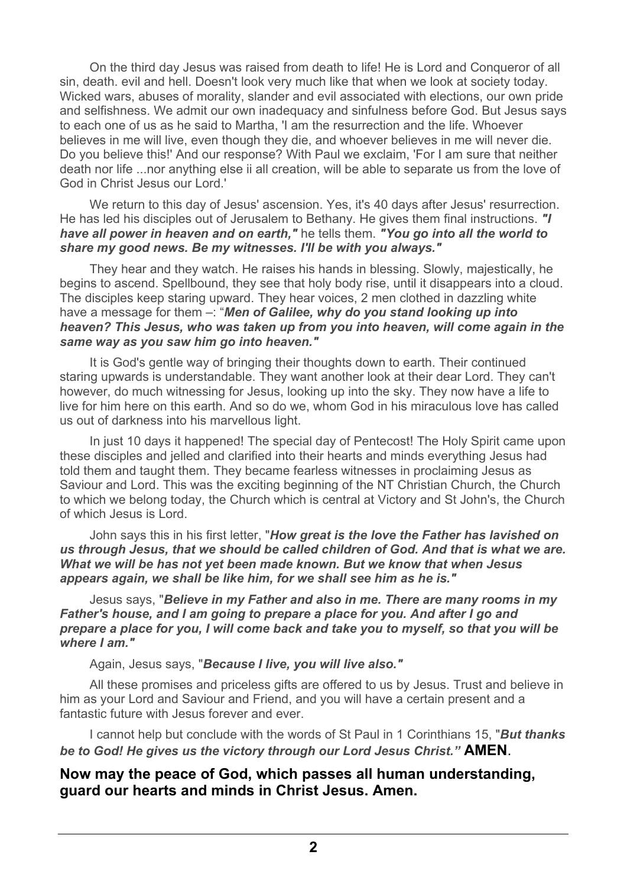On the third day Jesus was raised from death to life! He is Lord and Conqueror of all sin, death. evil and hell. Doesn't look very much like that when we look at society today. Wicked wars, abuses of morality, slander and evil associated with elections, our own pride and selfishness. We admit our own inadequacy and sinfulness before God. But Jesus says to each one of us as he said to Martha, 'I am the resurrection and the life. Whoever believes in me will live, even though they die, and whoever believes in me will never die. Do you believe this!' And our response? With Paul we exclaim, 'For I am sure that neither death nor life ...nor anything else ii all creation, will be able to separate us from the love of God in Christ Jesus our Lord.'

We return to this day of Jesus' ascension. Yes, it's 40 days after Jesus' resurrection. He has led his disciples out of Jerusalem to Bethany. He gives them final instructions. *"I have all power in heaven and on earth,"* he tells them. *"You go into all the world to share my good news. Be my witnesses. I'll be with you always."*

They hear and they watch. He raises his hands in blessing. Slowly, majestically, he begins to ascend. Spellbound, they see that holy body rise, until it disappears into a cloud. The disciples keep staring upward. They hear voices, 2 men clothed in dazzling white have a message for them –: "*Men of Galilee, why do you stand looking up into heaven? This Jesus, who was taken up from you into heaven, will come again in the same way as you saw him go into heaven."*

It is God's gentle way of bringing their thoughts down to earth. Their continued staring upwards is understandable. They want another look at their dear Lord. They can't however, do much witnessing for Jesus, looking up into the sky. They now have a life to live for him here on this earth. And so do we, whom God in his miraculous love has called us out of darkness into his marvellous light.

In just 10 days it happened! The special day of Pentecost! The Holy Spirit came upon these disciples and jelled and clarified into their hearts and minds everything Jesus had told them and taught them. They became fearless witnesses in proclaiming Jesus as Saviour and Lord. This was the exciting beginning of the NT Christian Church, the Church to which we belong today, the Church which is central at Victory and St John's, the Church of which Jesus is Lord.

John says this in his first letter, "*How great is the love the Father has lavished on us through Jesus, that we should be called children of God. And that is what we are. What we will be has not yet been made known. But we know that when Jesus appears again, we shall be like him, for we shall see him as he is."*

Jesus says, "*Believe in my Father and also in me. There are many rooms in my Father's house, and I am going to prepare a place for you. And after I go and prepare a place for you, I will come back and take you to myself, so that you will be where I am."*

Again, Jesus says, "*Because I live, you will live also."*

All these promises and priceless gifts are offered to us by Jesus. Trust and believe in him as your Lord and Saviour and Friend, and you will have a certain present and a fantastic future with Jesus forever and ever.

I cannot help but conclude with the words of St Paul in 1 Corinthians 15, "*But thanks be to God! He gives us the victory through our Lord Jesus Christ."* **AMEN**.

## **Now may the peace of God, which passes all human understanding, guard our hearts and minds in Christ Jesus. Amen.**